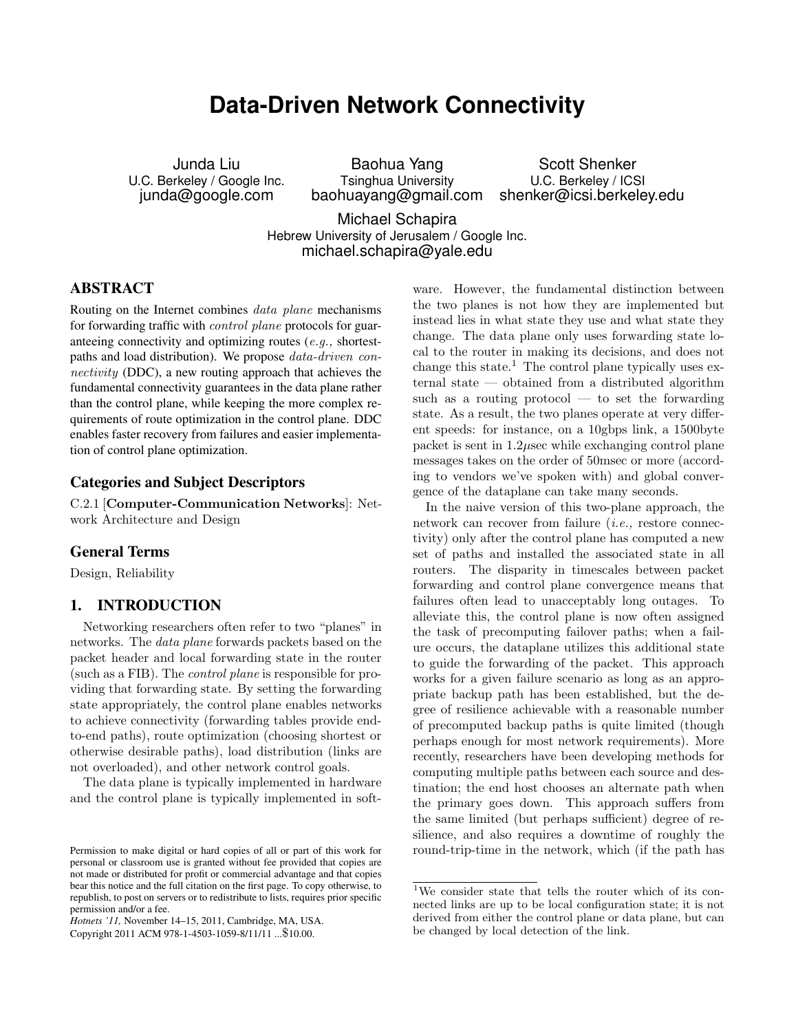## **Data-Driven Network Connectivity**

Junda Liu U.C. Berkeley / Google Inc. junda@google.com

Baohua Yang Tsinghua University baohuayang@gmail.com

Scott Shenker U.C. Berkeley / ICSI shenker@icsi.berkeley.edu

Michael Schapira Hebrew University of Jerusalem / Google Inc. michael.schapira@yale.edu

## ABSTRACT

Routing on the Internet combines data plane mechanisms for forwarding traffic with *control plane* protocols for guaranteeing connectivity and optimizing routes (e.g., shortestpaths and load distribution). We propose data-driven connectivity (DDC), a new routing approach that achieves the fundamental connectivity guarantees in the data plane rather than the control plane, while keeping the more complex requirements of route optimization in the control plane. DDC enables faster recovery from failures and easier implementation of control plane optimization.

## Categories and Subject Descriptors

C.2.1 [Computer-Communication Networks]: Network Architecture and Design

#### General Terms

Design, Reliability

## 1. INTRODUCTION

Networking researchers often refer to two "planes" in networks. The data plane forwards packets based on the packet header and local forwarding state in the router (such as a FIB). The control plane is responsible for providing that forwarding state. By setting the forwarding state appropriately, the control plane enables networks to achieve connectivity (forwarding tables provide endto-end paths), route optimization (choosing shortest or otherwise desirable paths), load distribution (links are not overloaded), and other network control goals.

The data plane is typically implemented in hardware and the control plane is typically implemented in soft-

Copyright 2011 ACM 978-1-4503-1059-8/11/11 ...\$10.00.

ware. However, the fundamental distinction between the two planes is not how they are implemented but instead lies in what state they use and what state they change. The data plane only uses forwarding state local to the router in making its decisions, and does not change this state.<sup>1</sup> The control plane typically uses external state — obtained from a distributed algorithm such as a routing protocol  $-$  to set the forwarding state. As a result, the two planes operate at very different speeds: for instance, on a 10gbps link, a 1500byte packet is sent in  $1.2\mu$ sec while exchanging control plane messages takes on the order of 50msec or more (according to vendors we've spoken with) and global convergence of the dataplane can take many seconds.

In the naive version of this two-plane approach, the network can recover from failure (i.e., restore connectivity) only after the control plane has computed a new set of paths and installed the associated state in all routers. The disparity in timescales between packet forwarding and control plane convergence means that failures often lead to unacceptably long outages. To alleviate this, the control plane is now often assigned the task of precomputing failover paths; when a failure occurs, the dataplane utilizes this additional state to guide the forwarding of the packet. This approach works for a given failure scenario as long as an appropriate backup path has been established, but the degree of resilience achievable with a reasonable number of precomputed backup paths is quite limited (though perhaps enough for most network requirements). More recently, researchers have been developing methods for computing multiple paths between each source and destination; the end host chooses an alternate path when the primary goes down. This approach suffers from the same limited (but perhaps sufficient) degree of resilience, and also requires a downtime of roughly the round-trip-time in the network, which (if the path has

Permission to make digital or hard copies of all or part of this work for personal or classroom use is granted without fee provided that copies are not made or distributed for profit or commercial advantage and that copies bear this notice and the full citation on the first page. To copy otherwise, to republish, to post on servers or to redistribute to lists, requires prior specific permission and/or a fee.

*Hotnets '11,* November 14–15, 2011, Cambridge, MA, USA.

<sup>1</sup>We consider state that tells the router which of its connected links are up to be local configuration state; it is not derived from either the control plane or data plane, but can be changed by local detection of the link.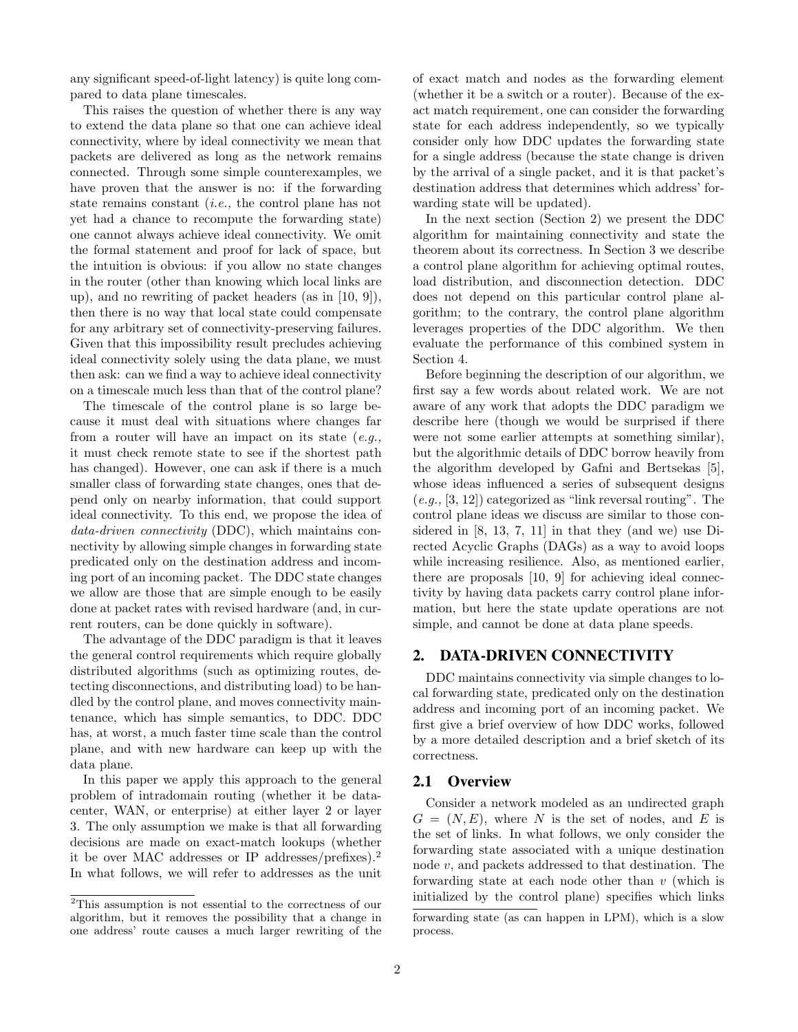any significant speed-of-light latency) is quite long compared to data plane timescales.

This raises the question of whether there is any way to extend the data plane so that one can achieve ideal connectivity, where by ideal connectivity we mean that packets are delivered as long as the network remains connected. Through some simple counterexamples, we have proven that the answer is no: if the forwarding state remains constant (i.e., the control plane has not yet had a chance to recompute the forwarding state) one cannot always achieve ideal connectivity. We omit the formal statement and proof for lack of space, but the intuition is obvious: if you allow no state changes in the router (other than knowing which local links are up), and no rewriting of packet headers (as in [10, 9]), then there is no way that local state could compensate for any arbitrary set of connectivity-preserving failures. Given that this impossibility result precludes achieving ideal connectivity solely using the data plane, we must then ask: can we find a way to achieve ideal connectivity on a timescale much less than that of the control plane?

The timescale of the control plane is so large because it must deal with situations where changes far from a router will have an impact on its state  $(e.g.,)$ it must check remote state to see if the shortest path has changed). However, one can ask if there is a much smaller class of forwarding state changes, ones that depend only on nearby information, that could support ideal connectivity. To this end, we propose the idea of data-driven connectivity (DDC), which maintains connectivity by allowing simple changes in forwarding state predicated only on the destination address and incoming port of an incoming packet. The DDC state changes we allow are those that are simple enough to be easily done at packet rates with revised hardware (and, in current routers, can be done quickly in software).

The advantage of the DDC paradigm is that it leaves the general control requirements which require globally distributed algorithms (such as optimizing routes, detecting disconnections, and distributing load) to be handled by the control plane, and moves connectivity maintenance, which has simple semantics, to DDC. DDC has, at worst, a much faster time scale than the control plane, and with new hardware can keep up with the data plane.

In this paper we apply this approach to the general problem of intradomain routing (whether it be datacenter, WAN, or enterprise) at either layer 2 or layer 3. The only assumption we make is that all forwarding decisions are made on exact-match lookups (whether it be over MAC addresses or IP addresses/prefixes).<sup>2</sup> In what follows, we will refer to addresses as the unit of exact match and nodes as the forwarding element (whether it be a switch or a router). Because of the exact match requirement, one can consider the forwarding state for each address independently, so we typically consider only how DDC updates the forwarding state for a single address (because the state change is driven by the arrival of a single packet, and it is that packet's destination address that determines which address' forwarding state will be updated).

In the next section (Section 2) we present the DDC algorithm for maintaining connectivity and state the theorem about its correctness. In Section 3 we describe a control plane algorithm for achieving optimal routes, load distribution, and disconnection detection. DDC does not depend on this particular control plane algorithm; to the contrary, the control plane algorithm leverages properties of the DDC algorithm. We then evaluate the performance of this combined system in Section 4.

Before beginning the description of our algorithm, we first say a few words about related work. We are not aware of any work that adopts the DDC paradigm we describe here (though we would be surprised if there were not some earlier attempts at something similar), but the algorithmic details of DDC borrow heavily from the algorithm developed by Gafni and Bertsekas [5], whose ideas influenced a series of subsequent designs  $(e.g., [3, 12])$  categorized as "link reversal routing". The control plane ideas we discuss are similar to those considered in [8, 13, 7, 11] in that they (and we) use Directed Acyclic Graphs (DAGs) as a way to avoid loops while increasing resilience. Also, as mentioned earlier, there are proposals [10, 9] for achieving ideal connectivity by having data packets carry control plane information, but here the state update operations are not simple, and cannot be done at data plane speeds.

## 2. DATA-DRIVEN CONNECTIVITY

DDC maintains connectivity via simple changes to local forwarding state, predicated only on the destination address and incoming port of an incoming packet. We first give a brief overview of how DDC works, followed by a more detailed description and a brief sketch of its correctness.

## 2.1 Overview

Consider a network modeled as an undirected graph  $G = (N, E)$ , where N is the set of nodes, and E is the set of links. In what follows, we only consider the forwarding state associated with a unique destination node  $v$ , and packets addressed to that destination. The forwarding state at each node other than  $v$  (which is initialized by the control plane) specifies which links

<sup>2</sup>This assumption is not essential to the correctness of our algorithm, but it removes the possibility that a change in one address' route causes a much larger rewriting of the

forwarding state (as can happen in LPM), which is a slow process.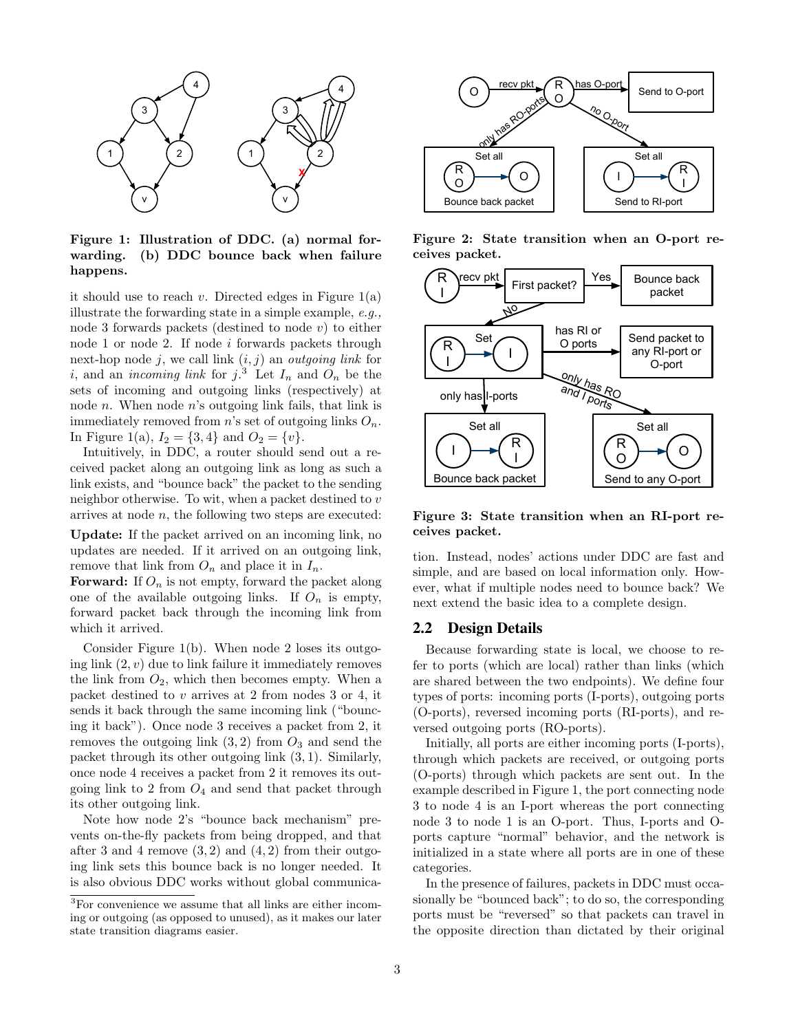

Figure 1: Illustration of DDC. (a) normal forwarding. (b) DDC bounce back when failure happens.

it should use to reach v. Directed edges in Figure  $1(a)$ illustrate the forwarding state in a simple example, e.g., node 3 forwards packets (destined to node  $v$ ) to either node 1 or node 2. If node i forwards packets through next-hop node j, we call link  $(i, j)$  an *outgoing link* for i, and an incoming link for  $j$ <sup>3</sup>. Let  $I_n$  and  $O_n$  be the sets of incoming and outgoing links (respectively) at node  $n$ . When node  $n$ 's outgoing link fails, that link is immediately removed from n's set of outgoing links  $O_n$ . In Figure 1(a),  $I_2 = \{3, 4\}$  and  $O_2 = \{v\}.$ 

Intuitively, in DDC, a router should send out a received packet along an outgoing link as long as such a link exists, and "bounce back" the packet to the sending neighbor otherwise. To wit, when a packet destined to  $v$ arrives at node  $n$ , the following two steps are executed:

Update: If the packet arrived on an incoming link, no updates are needed. If it arrived on an outgoing link, remove that link from  $O_n$  and place it in  $I_n$ .

**Forward:** If  $O_n$  is not empty, forward the packet along one of the available outgoing links. If  $O_n$  is empty, forward packet back through the incoming link from which it arrived.

Consider Figure 1(b). When node 2 loses its outgoing link  $(2, v)$  due to link failure it immediately removes the link from  $O_2$ , which then becomes empty. When a packet destined to  $v$  arrives at 2 from nodes 3 or 4, it sends it back through the same incoming link ("bouncing it back"). Once node 3 receives a packet from 2, it removes the outgoing link  $(3, 2)$  from  $O_3$  and send the packet through its other outgoing link (3, 1). Similarly, once node 4 receives a packet from 2 it removes its outgoing link to 2 from  $O_4$  and send that packet through its other outgoing link.

Note how node 2's "bounce back mechanism" prevents on-the-fly packets from being dropped, and that after 3 and 4 remove  $(3, 2)$  and  $(4, 2)$  from their outgoing link sets this bounce back is no longer needed. It is also obvious DDC works without global communica-



Figure 2: State transition when an O-port receives packet.



Figure 3: State transition when an RI-port receives packet.

tion. Instead, nodes' actions under DDC are fast and simple, and are based on local information only. However, what if multiple nodes need to bounce back? We next extend the basic idea to a complete design.

#### 2.2 Design Details

Because forwarding state is local, we choose to refer to ports (which are local) rather than links (which are shared between the two endpoints). We define four types of ports: incoming ports (I-ports), outgoing ports (O-ports), reversed incoming ports (RI-ports), and reversed outgoing ports (RO-ports).

Initially, all ports are either incoming ports (I-ports), through which packets are received, or outgoing ports (O-ports) through which packets are sent out. In the example described in Figure 1, the port connecting node 3 to node 4 is an I-port whereas the port connecting node 3 to node 1 is an O-port. Thus, I-ports and Oports capture "normal" behavior, and the network is initialized in a state where all ports are in one of these categories.

In the presence of failures, packets in DDC must occasionally be "bounced back"; to do so, the corresponding ports must be "reversed" so that packets can travel in the opposite direction than dictated by their original

<sup>3</sup>For convenience we assume that all links are either incoming or outgoing (as opposed to unused), as it makes our later state transition diagrams easier.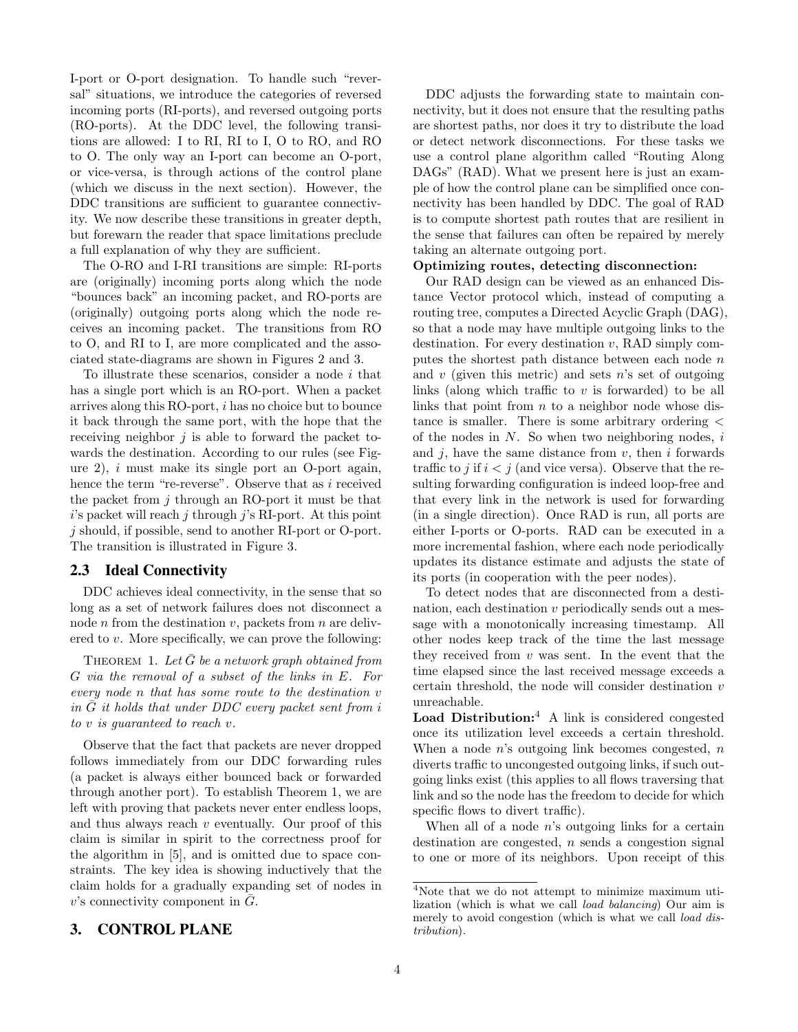I-port or O-port designation. To handle such "reversal" situations, we introduce the categories of reversed incoming ports (RI-ports), and reversed outgoing ports (RO-ports). At the DDC level, the following transitions are allowed: I to RI, RI to I, O to RO, and RO to O. The only way an I-port can become an O-port, or vice-versa, is through actions of the control plane (which we discuss in the next section). However, the DDC transitions are sufficient to guarantee connectivity. We now describe these transitions in greater depth, but forewarn the reader that space limitations preclude a full explanation of why they are sufficient.

The O-RO and I-RI transitions are simple: RI-ports are (originally) incoming ports along which the node "bounces back" an incoming packet, and RO-ports are (originally) outgoing ports along which the node receives an incoming packet. The transitions from RO to O, and RI to I, are more complicated and the associated state-diagrams are shown in Figures 2 and 3.

To illustrate these scenarios, consider a node  $i$  that has a single port which is an RO-port. When a packet arrives along this RO-port, i has no choice but to bounce it back through the same port, with the hope that the receiving neighbor  $j$  is able to forward the packet towards the destination. According to our rules (see Figure 2),  $i$  must make its single port an O-port again, hence the term "re-reverse". Observe that as i received the packet from  $j$  through an RO-port it must be that  $i$ 's packet will reach j through j's RI-port. At this point  $j$  should, if possible, send to another RI-port or O-port. The transition is illustrated in Figure 3.

#### 2.3 Ideal Connectivity

DDC achieves ideal connectivity, in the sense that so long as a set of network failures does not disconnect a node  $n$  from the destination  $v$ , packets from  $n$  are delivered to v. More specifically, we can prove the following:

THEOREM 1. Let  $\bar{G}$  be a network graph obtained from G via the removal of a subset of the links in E. For every node n that has some route to the destination v in  $\bar{G}$  it holds that under DDC every packet sent from i to v is guaranteed to reach v.

Observe that the fact that packets are never dropped follows immediately from our DDC forwarding rules (a packet is always either bounced back or forwarded through another port). To establish Theorem 1, we are left with proving that packets never enter endless loops, and thus always reach  $v$  eventually. Our proof of this claim is similar in spirit to the correctness proof for the algorithm in [5], and is omitted due to space constraints. The key idea is showing inductively that the claim holds for a gradually expanding set of nodes in  $v$ 's connectivity component in  $\tilde{G}$ .

## 3. CONTROL PLANE

DDC adjusts the forwarding state to maintain connectivity, but it does not ensure that the resulting paths are shortest paths, nor does it try to distribute the load or detect network disconnections. For these tasks we use a control plane algorithm called "Routing Along DAGs" (RAD). What we present here is just an example of how the control plane can be simplified once connectivity has been handled by DDC. The goal of RAD is to compute shortest path routes that are resilient in the sense that failures can often be repaired by merely taking an alternate outgoing port.

## Optimizing routes, detecting disconnection:

Our RAD design can be viewed as an enhanced Distance Vector protocol which, instead of computing a routing tree, computes a Directed Acyclic Graph (DAG), so that a node may have multiple outgoing links to the destination. For every destination  $v$ , RAD simply computes the shortest path distance between each node n and v (given this metric) and sets n's set of outgoing links (along which traffic to  $v$  is forwarded) to be all links that point from  $n$  to a neighbor node whose distance is smaller. There is some arbitrary ordering < of the nodes in  $N$ . So when two neighboring nodes, i and  $j$ , have the same distance from  $v$ , then  $i$  forwards traffic to j if  $i < j$  (and vice versa). Observe that the resulting forwarding configuration is indeed loop-free and that every link in the network is used for forwarding (in a single direction). Once RAD is run, all ports are either I-ports or O-ports. RAD can be executed in a more incremental fashion, where each node periodically updates its distance estimate and adjusts the state of its ports (in cooperation with the peer nodes).

To detect nodes that are disconnected from a destination, each destination  $v$  periodically sends out a message with a monotonically increasing timestamp. All other nodes keep track of the time the last message they received from  $v$  was sent. In the event that the time elapsed since the last received message exceeds a certain threshold, the node will consider destination v unreachable.

**Load Distribution:** $4$  A link is considered congested once its utilization level exceeds a certain threshold. When a node  $n$ 's outgoing link becomes congested,  $n$ diverts traffic to uncongested outgoing links, if such outgoing links exist (this applies to all flows traversing that link and so the node has the freedom to decide for which specific flows to divert traffic).

When all of a node  $n$ 's outgoing links for a certain destination are congested, n sends a congestion signal to one or more of its neighbors. Upon receipt of this

<sup>4</sup>Note that we do not attempt to minimize maximum utilization (which is what we call load balancing) Our aim is merely to avoid congestion (which is what we call *load dis*tribution).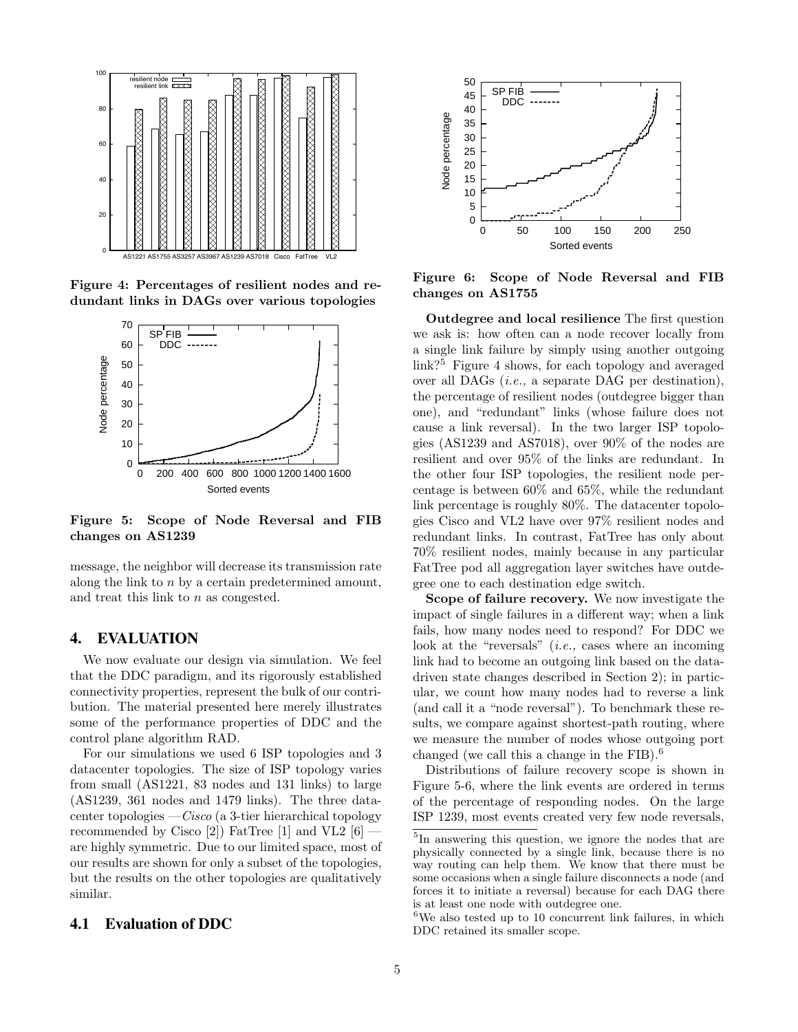

Figure 4: Percentages of resilient nodes and redundant links in DAGs over various topologies



Figure 5: Scope of Node Reversal and FIB changes on AS1239

message, the neighbor will decrease its transmission rate along the link to  $n$  by a certain predetermined amount, and treat this link to n as congested.

#### 4. EVALUATION

We now evaluate our design via simulation. We feel that the DDC paradigm, and its rigorously established connectivity properties, represent the bulk of our contribution. The material presented here merely illustrates some of the performance properties of DDC and the control plane algorithm RAD.

For our simulations we used 6 ISP topologies and 3 datacenter topologies. The size of ISP topology varies from small (AS1221, 83 nodes and 131 links) to large (AS1239, 361 nodes and 1479 links). The three datacenter topologies  $-Cisco$  (a 3-tier hierarchical topology recommended by Cisco [2]) FatTree [1] and VL2  $[6]$  are highly symmetric. Due to our limited space, most of our results are shown for only a subset of the topologies, but the results on the other topologies are qualitatively similar.

## 4.1 Evaluation of DDC



Figure 6: Scope of Node Reversal and FIB changes on AS1755

Outdegree and local resilience The first question we ask is: how often can a node recover locally from a single link failure by simply using another outgoing link?<sup>5</sup> Figure 4 shows, for each topology and averaged over all DAGs (i.e., a separate DAG per destination), the percentage of resilient nodes (outdegree bigger than one), and "redundant" links (whose failure does not cause a link reversal). In the two larger ISP topologies (AS1239 and AS7018), over 90% of the nodes are resilient and over 95% of the links are redundant. In the other four ISP topologies, the resilient node percentage is between 60% and 65%, while the redundant link percentage is roughly 80%. The datacenter topologies Cisco and VL2 have over 97% resilient nodes and redundant links. In contrast, FatTree has only about 70% resilient nodes, mainly because in any particular FatTree pod all aggregation layer switches have outdegree one to each destination edge switch.

Scope of failure recovery. We now investigate the impact of single failures in a different way; when a link fails, how many nodes need to respond? For DDC we look at the "reversals" (*i.e.*, cases where an incoming link had to become an outgoing link based on the datadriven state changes described in Section 2); in particular, we count how many nodes had to reverse a link (and call it a "node reversal"). To benchmark these results, we compare against shortest-path routing, where we measure the number of nodes whose outgoing port changed (we call this a change in the FIB).<sup>6</sup>

Distributions of failure recovery scope is shown in Figure 5-6, where the link events are ordered in terms of the percentage of responding nodes. On the large ISP 1239, most events created very few node reversals,

<sup>&</sup>lt;sup>5</sup>In answering this question, we ignore the nodes that are physically connected by a single link, because there is no way routing can help them. We know that there must be some occasions when a single failure disconnects a node (and forces it to initiate a reversal) because for each DAG there is at least one node with outdegree one.

 ${}^{6}$ We also tested up to 10 concurrent link failures, in which DDC retained its smaller scope.